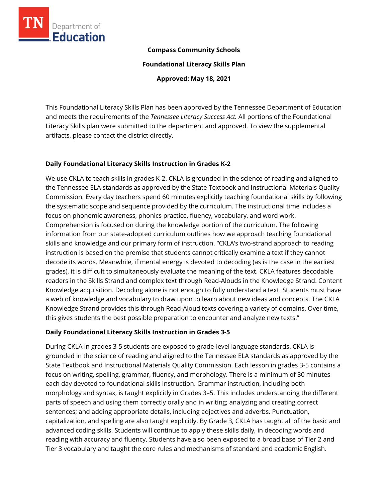

### **Compass Community Schools**

**Foundational Literacy Skills Plan**

**Approved: May 18, 2021**

This Foundational Literacy Skills Plan has been approved by the Tennessee Department of Education and meets the requirements of the *Tennessee Literacy Success Act.* All portions of the Foundational Literacy Skills plan were submitted to the department and approved. To view the supplemental artifacts, please contact the district directly.

## **Daily Foundational Literacy Skills Instruction in Grades K-2**

We use CKLA to teach skills in grades K-2. CKLA is grounded in the science of reading and aligned to the Tennessee ELA standards as approved by the State Textbook and Instructional Materials Quality Commission. Every day teachers spend 60 minutes explicitly teaching foundational skills by following the systematic scope and sequence provided by the curriculum. The instructional time includes a focus on phonemic awareness, phonics practice, fluency, vocabulary, and word work. Comprehension is focused on during the knowledge portion of the curriculum. The following information from our state-adopted curriculum outlines how we approach teaching foundational skills and knowledge and our primary form of instruction. "CKLA's two-strand approach to reading instruction is based on the premise that students cannot critically examine a text if they cannot decode its words. Meanwhile, if mental energy is devoted to decoding (as is the case in the earliest grades), it is difficult to simultaneously evaluate the meaning of the text. CKLA features decodable readers in the Skills Strand and complex text through Read-Alouds in the Knowledge Strand. Content Knowledge acquisition. Decoding alone is not enough to fully understand a text. Students must have a web of knowledge and vocabulary to draw upon to learn about new ideas and concepts. The CKLA Knowledge Strand provides this through Read-Aloud texts covering a variety of domains. Over time, this gives students the best possible preparation to encounter and analyze new texts."

# **Daily Foundational Literacy Skills Instruction in Grades 3-5**

During CKLA in grades 3-5 students are exposed to grade-level language standards. CKLA is grounded in the science of reading and aligned to the Tennessee ELA standards as approved by the State Textbook and Instructional Materials Quality Commission. Each lesson in grades 3-5 contains a focus on writing, spelling, grammar, fluency, and morphology. There is a minimum of 30 minutes each day devoted to foundational skills instruction. Grammar instruction, including both morphology and syntax, is taught explicitly in Grades 3–5. This includes understanding the different parts of speech and using them correctly orally and in writing; analyzing and creating correct sentences; and adding appropriate details, including adjectives and adverbs. Punctuation, capitalization, and spelling are also taught explicitly. By Grade 3, CKLA has taught all of the basic and advanced coding skills. Students will continue to apply these skills daily, in decoding words and reading with accuracy and fluency. Students have also been exposed to a broad base of Tier 2 and Tier 3 vocabulary and taught the core rules and mechanisms of standard and academic English.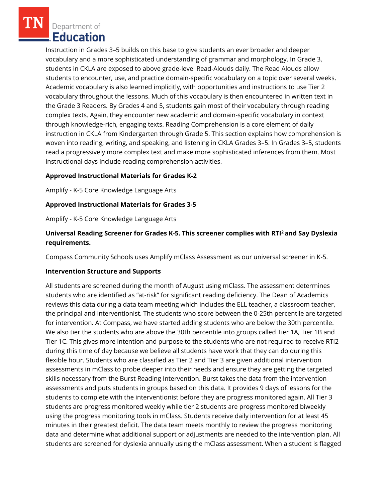Department of Education

Instruction in Grades 3–5 builds on this base to give students an ever broader and deeper vocabulary and a more sophisticated understanding of grammar and morphology. In Grade 3, students in CKLA are exposed to above grade-level Read-Alouds daily. The Read Alouds allow students to encounter, use, and practice domain-specific vocabulary on a topic over several weeks. Academic vocabulary is also learned implicitly, with opportunities and instructions to use Tier 2 vocabulary throughout the lessons. Much of this vocabulary is then encountered in written text in the Grade 3 Readers. By Grades 4 and 5, students gain most of their vocabulary through reading complex texts. Again, they encounter new academic and domain-specific vocabulary in context through knowledge-rich, engaging texts. Reading Comprehension is a core element of daily instruction in CKLA from Kindergarten through Grade 5. This section explains how comprehension is woven into reading, writing, and speaking, and listening in CKLA Grades 3–5. In Grades 3–5, students read a progressively more complex text and make more sophisticated inferences from them. Most instructional days include reading comprehension activities.

### **Approved Instructional Materials for Grades K-2**

Amplify - K-5 Core Knowledge Language Arts

### **Approved Instructional Materials for Grades 3-5**

Amplify - K-5 Core Knowledge Language Arts

## **Universal Reading Screener for Grades K-5. This screener complies with RTI<sup>2</sup>and Say Dyslexia requirements.**

Compass Community Schools uses Amplify mClass Assessment as our universal screener in K-5.

#### **Intervention Structure and Supports**

All students are screened during the month of August using mClass. The assessment determines students who are identified as "at-risk" for significant reading deficiency. The Dean of Academics reviews this data during a data team meeting which includes the ELL teacher, a classroom teacher, the principal and interventionist. The students who score between the 0-25th percentile are targeted for intervention. At Compass, we have started adding students who are below the 30th percentile. We also tier the students who are above the 30th percentile into groups called Tier 1A, Tier 1B and Tier 1C. This gives more intention and purpose to the students who are not required to receive RTI2 during this time of day because we believe all students have work that they can do during this flexible hour. Students who are classified as Tier 2 and Tier 3 are given additional intervention assessments in mClass to probe deeper into their needs and ensure they are getting the targeted skills necessary from the Burst Reading Intervention. Burst takes the data from the intervention assessments and puts students in groups based on this data. It provides 9 days of lessons for the students to complete with the interventionist before they are progress monitored again. All Tier 3 students are progress monitored weekly while tier 2 students are progress monitored biweekly using the progress monitoring tools in mClass. Students receive daily intervention for at least 45 minutes in their greatest deficit. The data team meets monthly to review the progress monitoring data and determine what additional support or adjustments are needed to the intervention plan. All students are screened for dyslexia annually using the mClass assessment. When a student is flagged